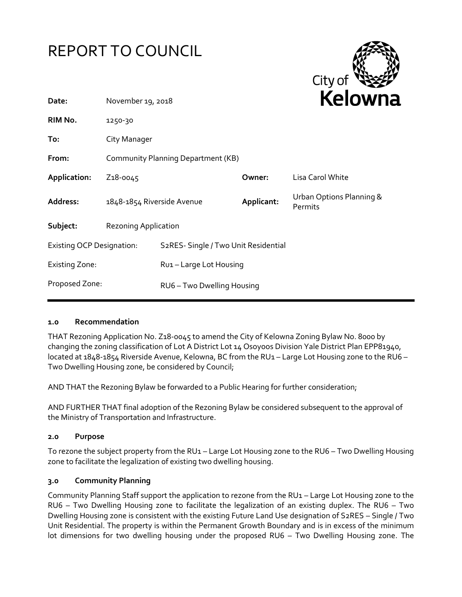



| Date:                            | November 19, 2018                  |                                      |            | <b>NEIUWI</b> k                     |
|----------------------------------|------------------------------------|--------------------------------------|------------|-------------------------------------|
| RIM No.                          | 1250-30                            |                                      |            |                                     |
| To:                              | City Manager                       |                                      |            |                                     |
| From:                            | Community Planning Department (KB) |                                      |            |                                     |
| Application:                     | Z <sub>1</sub> 8-0045              |                                      | Owner:     | Lisa Carol White                    |
| Address:                         | 1848-1854 Riverside Avenue         |                                      | Applicant: | Urban Options Planning &<br>Permits |
| Subject:                         | <b>Rezoning Application</b>        |                                      |            |                                     |
| <b>Existing OCP Designation:</b> |                                    | S2RES- Single / Two Unit Residential |            |                                     |
| Existing Zone:                   |                                    | Rui - Large Lot Housing              |            |                                     |
| Proposed Zone:                   |                                    | RU6 - Two Dwelling Housing           |            |                                     |
|                                  |                                    |                                      |            |                                     |

### **1.0 Recommendation**

THAT Rezoning Application No. Z18-0045 to amend the City of Kelowna Zoning Bylaw No. 8000 by changing the zoning classification of Lot A District Lot 14 Osoyoos Division Yale District Plan EPP81940, located at 1848-1854 Riverside Avenue, Kelowna, BC from the RU1 - Large Lot Housing zone to the RU6 -Two Dwelling Housing zone, be considered by Council;

AND THAT the Rezoning Bylaw be forwarded to a Public Hearing for further consideration;

AND FURTHER THAT final adoption of the Rezoning Bylaw be considered subsequent to the approval of the Ministry of Transportation and Infrastructure.

### **2.0 Purpose**

To rezone the subject property from the RU1 – Large Lot Housing zone to the RU6 – Two Dwelling Housing zone to facilitate the legalization of existing two dwelling housing.

### **3.0 Community Planning**

Community Planning Staff support the application to rezone from the RU1 – Large Lot Housing zone to the RU6 – Two Dwelling Housing zone to facilitate the legalization of an existing duplex. The RU6 – Two Dwelling Housing zone is consistent with the existing Future Land Use designation of S2RES – Single / Two Unit Residential. The property is within the Permanent Growth Boundary and is in excess of the minimum lot dimensions for two dwelling housing under the proposed RU6 – Two Dwelling Housing zone. The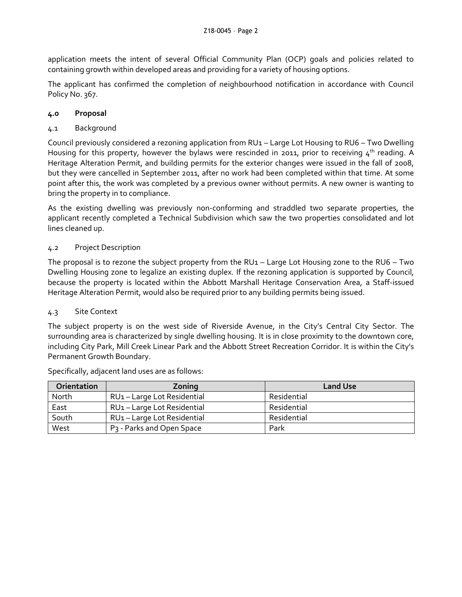application meets the intent of several Official Community Plan (OCP) goals and policies related to containing growth within developed areas and providing for a variety of housing options.

The applicant has confirmed the completion of neighbourhood notification in accordance with Council Policy No. 367.

# **4.0 Proposal**

# 4.1 Background

Council previously considered a rezoning application from RU1 – Large Lot Housing to RU6 – Two Dwelling Housing for this property, however the bylaws were rescinded in 2011, prior to receiving  $4<sup>th</sup>$  reading. A Heritage Alteration Permit, and building permits for the exterior changes were issued in the fall of 2008, but they were cancelled in September 2011, after no work had been completed within that time. At some point after this, the work was completed by a previous owner without permits. A new owner is wanting to bring the property in to compliance.

As the existing dwelling was previously non-conforming and straddled two separate properties, the applicant recently completed a Technical Subdivision which saw the two properties consolidated and lot lines cleaned up.

# 4.2 Project Description

The proposal is to rezone the subject property from the  $RU1 - Large Lot Housing zone to the RU6 - Two$ Dwelling Housing zone to legalize an existing duplex. If the rezoning application is supported by Council, because the property is located within the Abbott Marshall Heritage Conservation Area, a Staff-issued Heritage Alteration Permit, would also be required prior to any building permits being issued.

### 4.3 Site Context

The subject property is on the west side of Riverside Avenue, in the City's Central City Sector. The surrounding area is characterized by single dwelling housing. It is in close proximity to the downtown core, including City Park, Mill Creek Linear Park and the Abbott Street Recreation Corridor. It is within the City's Permanent Growth Boundary.

| Orientation | Zoning                                | <b>Land Use</b> |
|-------------|---------------------------------------|-----------------|
| North       | RU1-Large Lot Residential             | Residential     |
| East        | RU1-Large Lot Residential             | Residential     |
| South       | RU1-Large Lot Residential             | Residential     |
| West        | P <sub>3</sub> - Parks and Open Space | Park            |

Specifically, adjacent land uses are as follows: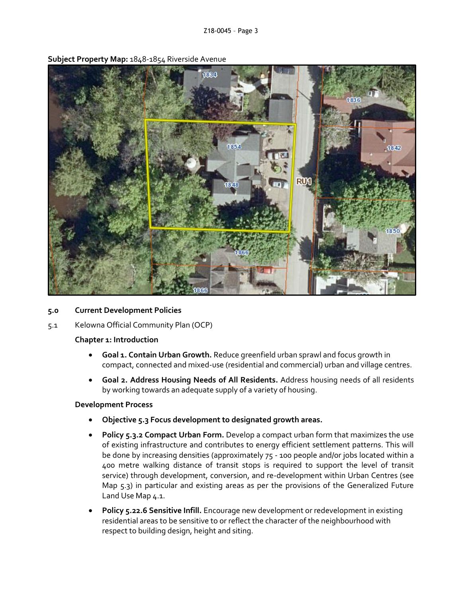

**Subject Property Map:** 1848-1854 Riverside Avenue

- **5.0 Current Development Policies**
- 5.1 Kelowna Official Community Plan (OCP)

### **Chapter 1: Introduction**

- **Goal 1. Contain Urban Growth.** Reduce greenfield urban sprawl and focus growth in compact, connected and mixed-use (residential and commercial) urban and village centres.
- **Goal 2. Address Housing Needs of All Residents.** Address housing needs of all residents by working towards an adequate supply of a variety of housing.

### **Development Process**

- **Objective 5.3 Focus development to designated growth areas.**
- **Policy 5.3.2 Compact Urban Form.** Develop a compact urban form that maximizes the use of existing infrastructure and contributes to energy efficient settlement patterns. This will be done by increasing densities (approximately 75 - 100 people and/or jobs located within a 400 metre walking distance of transit stops is required to support the level of transit service) through development, conversion, and re-development within Urban Centres (see Map 5.3) in particular and existing areas as per the provisions of the Generalized Future Land Use Map 4.1.
- **Policy 5.22.6 Sensitive Infill.** Encourage new development or redevelopment in existing residential areas to be sensitive to or reflect the character of the neighbourhood with respect to building design, height and siting.